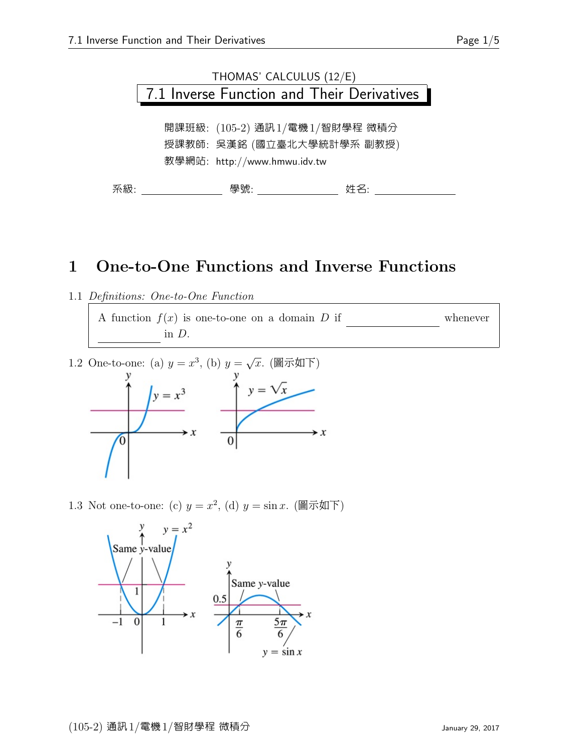

### 1 One-to-One Functions and Inverse Functions

1.1 Definitions: One-to-One Function

A function  $f(x)$  is one-to-one on a domain D if whenever in D.

1.2 One-to-one: (a)  $y = x^3$ , (b)  $y =$  $\sqrt{x}$ . (圖示如下)



1.3 Not one-to-one: (c)  $y = x^2$ , (d)  $y = \sin x$ . (圖示如下)

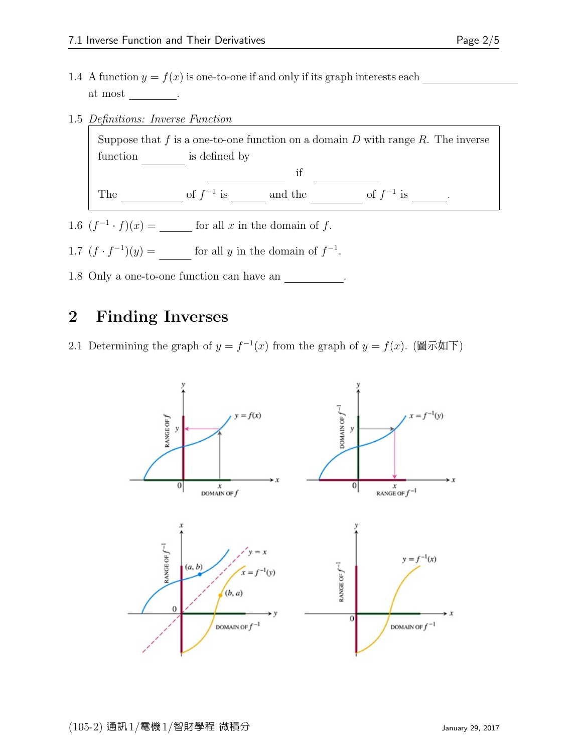1.5 Definitions: Inverse Function

Suppose that  $f$  is a one-to-one function on a domain  $D$  with range  $R$ . The inverse function is defined by  $\mathbf{if}$ The  $\frac{1}{\sqrt{2\pi}}$  of  $f^{-1}$  is  $\frac{1}{\sqrt{2\pi}}$  and the range of  $f^{-1}$  is  $\frac{1}{\sqrt{2\pi}}$ .

1.6  $(f^{-1} \cdot f)(x) =$  for all x in the domain of f.

- 1.7  $(f \cdot f^{-1})(y) =$  for all y in the domain of  $f^{-1}$ .
- 1.8 Only a one-to-one function can have an

### 2 Finding Inverses

2.1 Determining the graph of  $y = f^{-1}(x)$  from the graph of  $y = f(x)$ . (圖示如下)

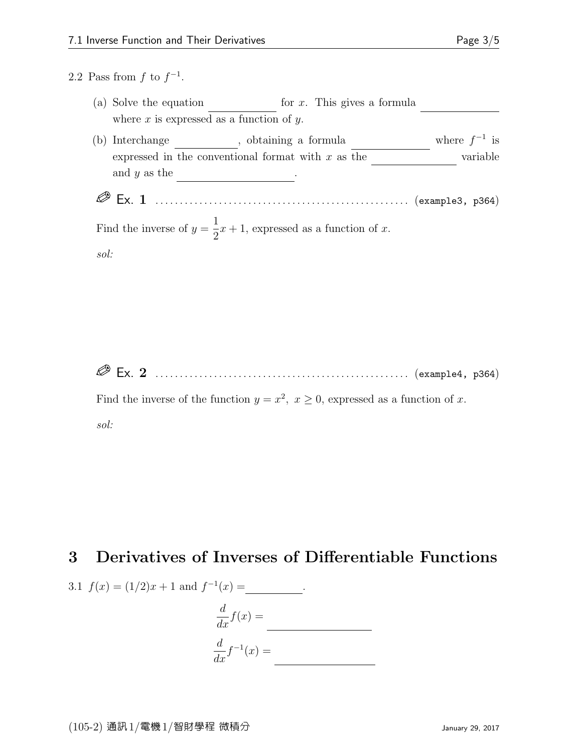#### 2.2 Pass from  $f$  to  $f^{-1}$ .

|                    |                                                                  | (a) Solve the equation                                                     |  | for $x$ . This gives a formula |                   |
|--------------------|------------------------------------------------------------------|----------------------------------------------------------------------------|--|--------------------------------|-------------------|
|                    |                                                                  | where $x$ is expressed as a function of $y$ .                              |  |                                |                   |
| (b)                | Interchange                                                      | botaining a formula                                                        |  |                                | where $f^{-1}$ is |
|                    | expressed in the conventional format with $x$ as the<br>variable |                                                                            |  |                                |                   |
|                    | and $y$ as the                                                   |                                                                            |  |                                |                   |
| $\mathfrak{sol}$ : |                                                                  | Find the inverse of $y = \frac{1}{2}x + 1$ , expressed as a function of x. |  |                                |                   |

Ex. 2 . . . . . . . . . . . . . . . . . . . . . . . . . . . . . . . . . . . . . . . . . . . . . . . . . . . . (example4, p364)

Find the inverse of the function  $y = x^2$ ,  $x \ge 0$ , expressed as a function of x. sol:

# 3 Derivatives of Inverses of Differentiable Functions

3.1 
$$
f(x) = (1/2)x + 1
$$
 and  $f^{-1}(x) =$  \_\_\_\_\_\_  

$$
\frac{d}{dx}f(x) =
$$
 \_\_\_\_\_\_  

$$
\frac{d}{dx}f^{-1}(x) =
$$
 \_\_\_\_\_\_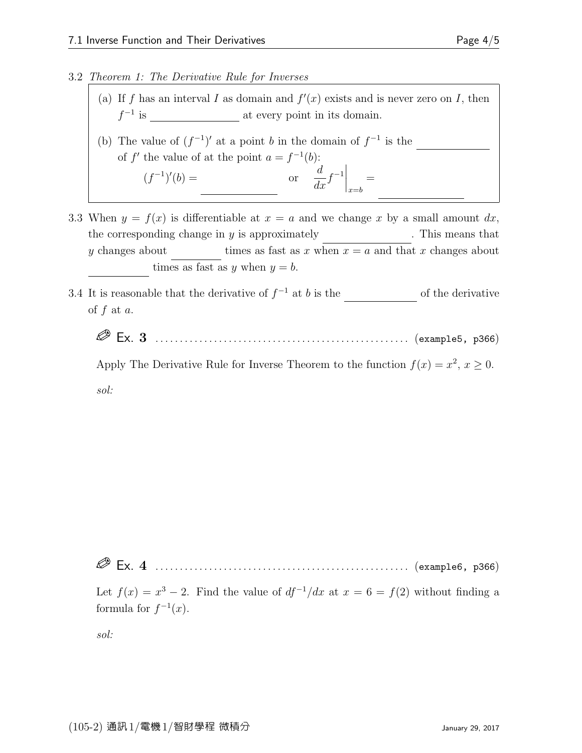#### 3.2 Theorem 1: The Derivative Rule for Inverses

- (a) If f has an interval I as domain and  $f'(x)$  exists and is never zero on I, then f −1 is differentiable at every point in its domain.
- (b) The value of  $(f^{-1})'$  at a point b in the domain of  $f^{-1}$  is the of f' the value of at the point  $a = f^{-1}(b)$ :  $(f^{-1})'(b) =$ or d  $\left. \frac{d}{dx} f^{-1} \right|_{x=b}$ =
- 3.3 When  $y = f(x)$  is differentiable at  $x = a$  and we change x by a small amount dx, the corresponding change in  $y$  is approximately  $\Box$  . This means that y changes about times as fast as x when  $x = a$  and that x changes about times as fast as y when  $y = b$ .
- 3.4 It is reasonable that the derivative of  $f^{-1}$  at b is the record of the derivative of  $f$  at  $a$ .
	- Ex. 3 . . . . . . . . . . . . . . . . . . . . . . . . . . . . . . . . . . . . . . . . . . . . . . . . . . . . (example5, p366)

Apply The Derivative Rule for Inverse Theorem to the function  $f(x) = x^2, x \ge 0$ . sol:

Ex. 4 . . . . . . . . . . . . . . . . . . . . . . . . . . . . . . . . . . . . . . . . . . . . . . . . . . . . (example6, p366)

Let  $f(x) = x^3 - 2$ . Find the value of  $df^{-1}/dx$  at  $x = 6 = f(2)$  without finding a formula for  $f^{-1}(x)$ .

sol: